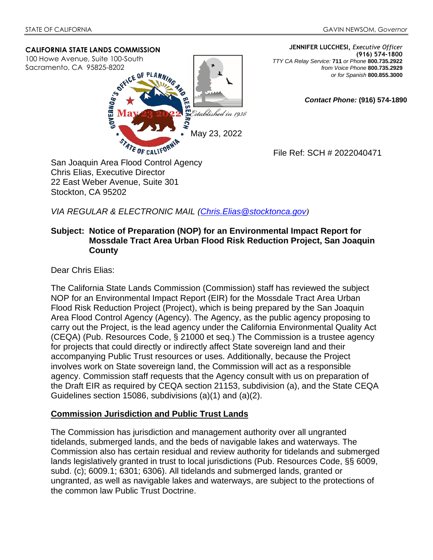#### **CALIFORNIA STATE LANDS COMMISSION**

100 Howe Avenue, Suite 100-South Sacramento, CA 95825-8202



**JENNIFER LUCCHESI,** *Executive Officer* **(916) 574-1800**  *TTY CA Relay Service:* **711** *or Phone* **800.735.2922** *from Voice Phone* **800.735.2929**  *or for Spanish* **800.855.3000**

*Contact Phone:* **(916) 574-1890** 

File Ref: SCH # 2022040471

Chris Elias, Executive Director 22 East Weber Avenue, Suite 301 Stockton, CA 95202

*VIA REGULAR & ELECTRONIC MAIL (Chris.Elias@stocktonca.gov)*

#### **Subject: Notice of Preparation (NOP) for an Environmental Impact Report for Mossdale Tract Area Urban Flood Risk Reduction Project, San Joaquin County**

Dear Chris Elias:

The California State Lands Commission (Commission) staff has reviewed the subject NOP for an Environmental Impact Report (EIR) for the Mossdale Tract Area Urban Flood Risk Reduction Project (Project), which is being prepared by the San Joaquin Area Flood Control Agency (Agency). The Agency, as the public agency proposing to carry out the Project, is the lead agency under the California Environmental Quality Act (CEQA) (Pub. Resources Code, § 21000 et seq.) The Commission is a trustee agency for projects that could directly or indirectly affect State sovereign land and their accompanying Public Trust resources or uses. Additionally, because the Project involves work on State sovereign land, the Commission will act as a responsible agency. Commission staff requests that the Agency consult with us on preparation of the Draft EIR as required by CEQA section 21153, subdivision (a), and the State CEQA Guidelines section 15086, subdivisions (a)(1) and (a)(2).

# **Commission Jurisdiction and Public Trust Lands**

The Commission has jurisdiction and management authority over all ungranted tidelands, submerged lands, and the beds of navigable lakes and waterways. The Commission also has certain residual and review authority for tidelands and submerged lands legislatively granted in trust to local jurisdictions (Pub. Resources Code, §§ 6009, subd. (c); 6009.1; 6301; 6306). All tidelands and submerged lands, granted or ungranted, as well as navigable lakes and waterways, are subject to the protections of the common law Public Trust Doctrine.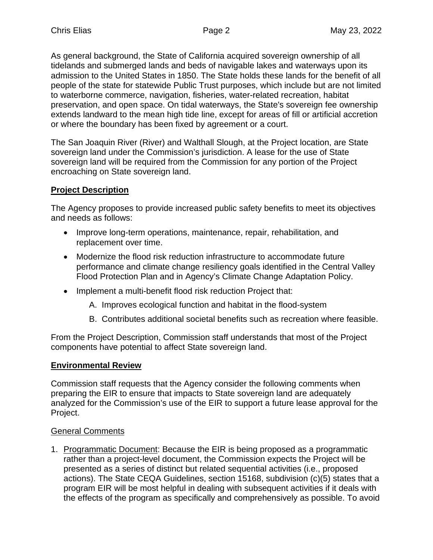As general background, the State of California acquired sovereign ownership of all tidelands and submerged lands and beds of navigable lakes and waterways upon its admission to the United States in 1850. The State holds these lands for the benefit of all people of the state for statewide Public Trust purposes, which include but are not limited to waterborne commerce, navigation, fisheries, water-related recreation, habitat preservation, and open space. On tidal waterways, the State's sovereign fee ownership extends landward to the mean high tide line, except for areas of fill or artificial accretion or where the boundary has been fixed by agreement or a court.

The San Joaquin River (River) and Walthall Slough, at the Project location, are State sovereign land under the Commission's jurisdiction. A lease for the use of State sovereign land will be required from the Commission for any portion of the Project encroaching on State sovereign land.

# **Project Description**

The Agency proposes to provide increased public safety benefits to meet its objectives and needs as follows:

- Improve long-term operations, maintenance, repair, rehabilitation, and replacement over time.
- Modernize the flood risk reduction infrastructure to accommodate future performance and climate change resiliency goals identified in the Central Valley Flood Protection Plan and in Agency's Climate Change Adaptation Policy.
- Implement a multi-benefit flood risk reduction Project that:
	- A. Improves ecological function and habitat in the flood-system
	- B. Contributes additional societal benefits such as recreation where feasible.

From the Project Description, Commission staff understands that most of the Project components have potential to affect State sovereign land.

# **Environmental Review**

Commission staff requests that the Agency consider the following comments when preparing the EIR to ensure that impacts to State sovereign land are adequately analyzed for the Commission's use of the EIR to support a future lease approval for the Project.

# General Comments

1. Programmatic Document: Because the EIR is being proposed as a programmatic rather than a project-level document, the Commission expects the Project will be presented as a series of distinct but related sequential activities (i.e., proposed actions). The State CEQA Guidelines, section 15168, subdivision (c)(5) states that a program EIR will be most helpful in dealing with subsequent activities if it deals with the effects of the program as specifically and comprehensively as possible. To avoid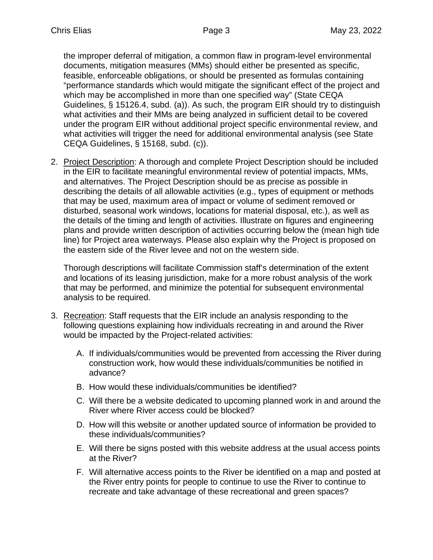the improper deferral of mitigation, a common flaw in program-level environmental documents, mitigation measures (MMs) should either be presented as specific, feasible, enforceable obligations, or should be presented as formulas containing "performance standards which would mitigate the significant effect of the project and which may be accomplished in more than one specified way" (State CEQA Guidelines, § 15126.4, subd. (a)). As such, the program EIR should try to distinguish what activities and their MMs are being analyzed in sufficient detail to be covered under the program EIR without additional project specific environmental review, and what activities will trigger the need for additional environmental analysis (see State CEQA Guidelines, § 15168, subd. (c)).

2. Project Description: A thorough and complete Project Description should be included in the EIR to facilitate meaningful environmental review of potential impacts, MMs, and alternatives. The Project Description should be as precise as possible in describing the details of all allowable activities (e.g., types of equipment or methods that may be used, maximum area of impact or volume of sediment removed or disturbed, seasonal work windows, locations for material disposal, etc.), as well as the details of the timing and length of activities. Illustrate on figures and engineering plans and provide written description of activities occurring below the (mean high tide line) for Project area waterways. Please also explain why the Project is proposed on the eastern side of the River levee and not on the western side.

Thorough descriptions will facilitate Commission staff's determination of the extent and locations of its leasing jurisdiction, make for a more robust analysis of the work that may be performed, and minimize the potential for subsequent environmental analysis to be required.

- 3. Recreation: Staff requests that the EIR include an analysis responding to the following questions explaining how individuals recreating in and around the River would be impacted by the Project-related activities:
	- A. If individuals/communities would be prevented from accessing the River during construction work, how would these individuals/communities be notified in advance?
	- B. How would these individuals/communities be identified?
	- C. Will there be a website dedicated to upcoming planned work in and around the River where River access could be blocked?
	- D. How will this website or another updated source of information be provided to these individuals/communities?
	- E. Will there be signs posted with this website address at the usual access points at the River?
	- F. Will alternative access points to the River be identified on a map and posted at the River entry points for people to continue to use the River to continue to recreate and take advantage of these recreational and green spaces?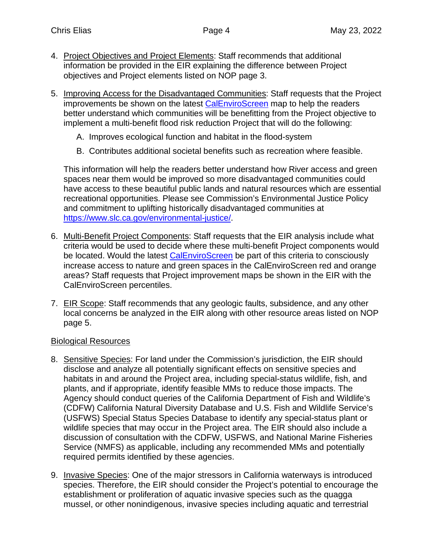- 4. Project Objectives and Project Elements: Staff recommends that additional information be provided in the EIR explaining the difference between Project objectives and Project elements listed on NOP page 3.
- 5. Improving Access for the Disadvantaged Communities: Staff requests that the Project improvements be shown on the latest CalEnviroScreen map to help the readers better understand which communities will be benefitting from the Project objective to implement a multi-benefit flood risk reduction Project that will do the following:
	- A. Improves ecological function and habitat in the flood-system
	- B. Contributes additional societal benefits such as recreation where feasible.

This information will help the readers better understand how River access and green spaces near them would be improved so more disadvantaged communities could have access to these beautiful public lands and natural resources which are essential recreational opportunities. Please see Commission's Environmental Justice Policy and commitment to uplifting historically disadvantaged communities at https://www.slc.ca.gov/environmental-justice/.

- 6. Multi-Benefit Project Components: Staff requests that the EIR analysis include what criteria would be used to decide where these multi-benefit Project components would be located. Would the latest CalEnviroScreen be part of this criteria to consciously increase access to nature and green spaces in the CalEnviroScreen red and orange areas? Staff requests that Project improvement maps be shown in the EIR with the CalEnviroScreen percentiles.
- 7. EIR Scope: Staff recommends that any geologic faults, subsidence, and any other local concerns be analyzed in the EIR along with other resource areas listed on NOP page 5.

#### Biological Resources

- 8. Sensitive Species: For land under the Commission's jurisdiction, the EIR should disclose and analyze all potentially significant effects on sensitive species and habitats in and around the Project area, including special-status wildlife, fish, and plants, and if appropriate, identify feasible MMs to reduce those impacts. The Agency should conduct queries of the California Department of Fish and Wildlife's (CDFW) California Natural Diversity Database and U.S. Fish and Wildlife Service's (USFWS) Special Status Species Database to identify any special-status plant or wildlife species that may occur in the Project area. The EIR should also include a discussion of consultation with the CDFW, USFWS, and National Marine Fisheries Service (NMFS) as applicable, including any recommended MMs and potentially required permits identified by these agencies.
- 9. Invasive Species: One of the major stressors in California waterways is introduced species. Therefore, the EIR should consider the Project's potential to encourage the establishment or proliferation of aquatic invasive species such as the quagga mussel, or other nonindigenous, invasive species including aquatic and terrestrial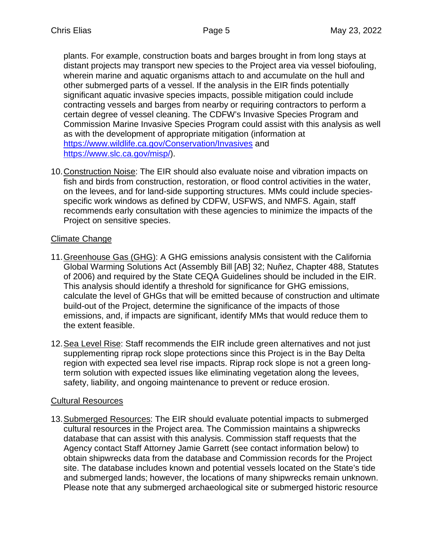plants. For example, construction boats and barges brought in from long stays at distant projects may transport new species to the Project area via vessel biofouling, wherein marine and aquatic organisms attach to and accumulate on the hull and other submerged parts of a vessel. If the analysis in the EIR finds potentially significant aquatic invasive species impacts, possible mitigation could include contracting vessels and barges from nearby or requiring contractors to perform a certain degree of vessel cleaning. The CDFW's Invasive Species Program and Commission Marine Invasive Species Program could assist with this analysis as well as with the development of appropriate mitigation (information at https://www.wildlife.ca.gov/Conservation/Invasives and https://www.slc.ca.gov/misp/).

10. Construction Noise: The EIR should also evaluate noise and vibration impacts on fish and birds from construction, restoration, or flood control activities in the water, on the levees, and for land-side supporting structures. MMs could include speciesspecific work windows as defined by CDFW, USFWS, and NMFS. Again, staff recommends early consultation with these agencies to minimize the impacts of the Project on sensitive species.

# Climate Change

- 11. Greenhouse Gas (GHG): A GHG emissions analysis consistent with the California Global Warming Solutions Act (Assembly Bill [AB] 32; Nuñez, Chapter 488, Statutes of 2006) and required by the State CEQA Guidelines should be included in the EIR. This analysis should identify a threshold for significance for GHG emissions, calculate the level of GHGs that will be emitted because of construction and ultimate build-out of the Project, determine the significance of the impacts of those emissions, and, if impacts are significant, identify MMs that would reduce them to the extent feasible.
- 12. Sea Level Rise: Staff recommends the EIR include green alternatives and not just supplementing riprap rock slope protections since this Project is in the Bay Delta region with expected sea level rise impacts. Riprap rock slope is not a green longterm solution with expected issues like eliminating vegetation along the levees, safety, liability, and ongoing maintenance to prevent or reduce erosion.

# Cultural Resources

13. Submerged Resources: The EIR should evaluate potential impacts to submerged cultural resources in the Project area. The Commission maintains a shipwrecks database that can assist with this analysis. Commission staff requests that the Agency contact Staff Attorney Jamie Garrett (see contact information below) to obtain shipwrecks data from the database and Commission records for the Project site. The database includes known and potential vessels located on the State's tide and submerged lands; however, the locations of many shipwrecks remain unknown. Please note that any submerged archaeological site or submerged historic resource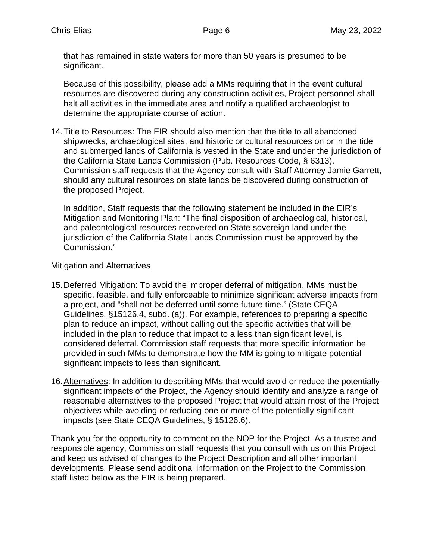that has remained in state waters for more than 50 years is presumed to be significant.

Because of this possibility, please add a MMs requiring that in the event cultural resources are discovered during any construction activities, Project personnel shall halt all activities in the immediate area and notify a qualified archaeologist to determine the appropriate course of action.

14. Title to Resources: The EIR should also mention that the title to all abandoned shipwrecks, archaeological sites, and historic or cultural resources on or in the tide and submerged lands of California is vested in the State and under the jurisdiction of the California State Lands Commission (Pub. Resources Code, § 6313). Commission staff requests that the Agency consult with Staff Attorney Jamie Garrett, should any cultural resources on state lands be discovered during construction of the proposed Project.

In addition, Staff requests that the following statement be included in the EIR's Mitigation and Monitoring Plan: "The final disposition of archaeological, historical, and paleontological resources recovered on State sovereign land under the jurisdiction of the California State Lands Commission must be approved by the Commission."

# Mitigation and Alternatives

- 15. Deferred Mitigation: To avoid the improper deferral of mitigation, MMs must be specific, feasible, and fully enforceable to minimize significant adverse impacts from a project, and "shall not be deferred until some future time." (State CEQA Guidelines, §15126.4, subd. (a)). For example, references to preparing a specific plan to reduce an impact, without calling out the specific activities that will be included in the plan to reduce that impact to a less than significant level, is considered deferral. Commission staff requests that more specific information be provided in such MMs to demonstrate how the MM is going to mitigate potential significant impacts to less than significant.
- 16. Alternatives: In addition to describing MMs that would avoid or reduce the potentially significant impacts of the Project, the Agency should identify and analyze a range of reasonable alternatives to the proposed Project that would attain most of the Project objectives while avoiding or reducing one or more of the potentially significant impacts (see State CEQA Guidelines, § 15126.6).

Thank you for the opportunity to comment on the NOP for the Project. As a trustee and responsible agency, Commission staff requests that you consult with us on this Project and keep us advised of changes to the Project Description and all other important developments. Please send additional information on the Project to the Commission staff listed below as the EIR is being prepared.